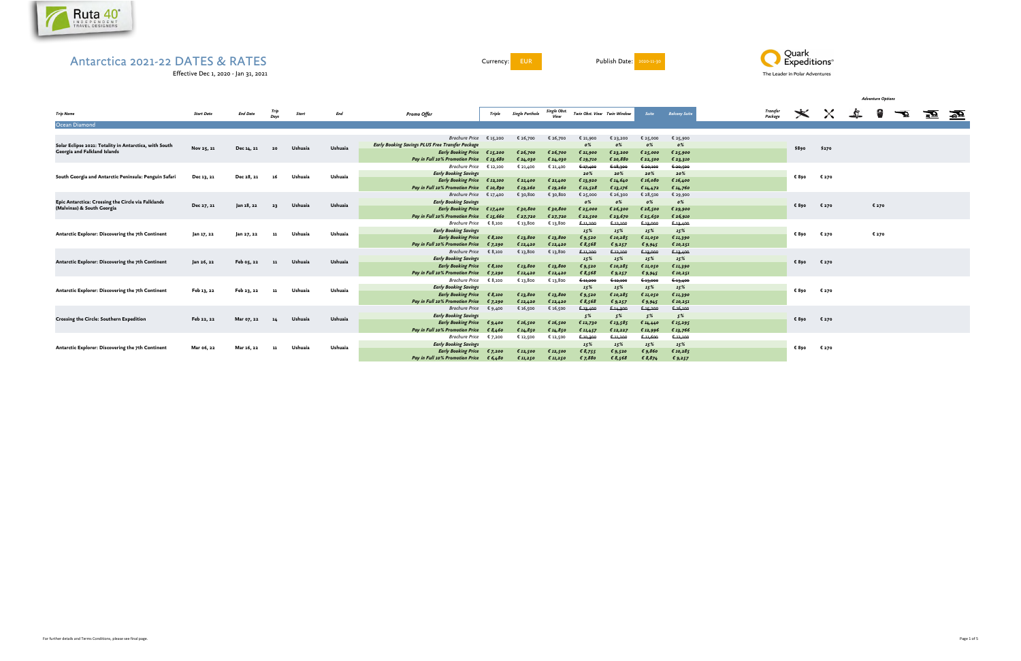

Effective Dec 1, 2020 - Jan 31, 2021

Currency: EUR Publish Date: <mark>2020-11-30</mark>



| <b>Trip Name</b>                                                                 | <b>Start Date</b> | <b>End Date</b> |      | <b>Start</b> | End                | <b>Promo Offer</b>                                                                         | <b>Triple</b>     | <b>Single Porthole</b> | Single Obst.         |                      | Twin Obst. View Twin Window | Suite                | <b>Balcony Suite</b> | Transfer<br>Package | $\dot{\varkappa}$ | $\times$ | $\mathcal{L}$ | 2     | $\overline{\mathbf{r}}$ | 蚕蚕 |  |
|----------------------------------------------------------------------------------|-------------------|-----------------|------|--------------|--------------------|--------------------------------------------------------------------------------------------|-------------------|------------------------|----------------------|----------------------|-----------------------------|----------------------|----------------------|---------------------|-------------------|----------|---------------|-------|-------------------------|----|--|
| Ocean Diamond                                                                    |                   |                 |      |              |                    |                                                                                            |                   |                        |                      |                      |                             |                      |                      |                     |                   |          |               |       |                         |    |  |
|                                                                                  |                   |                 |      |              |                    |                                                                                            |                   |                        |                      |                      |                             |                      |                      |                     |                   |          |               |       |                         |    |  |
|                                                                                  |                   |                 |      |              |                    | Brochure Price $\epsilon$ 15,200                                                           |                   | € 26,700               | € 26,700             | € 21,900             | € 23,200                    | € 25,000             | € 25,900             |                     |                   |          |               |       |                         |    |  |
| Solar Eclipse 2021: Totality in Antarctica, with South                           | Nov 25, 21        | Dec 14, 21      | 20   | Ushuaia      | Ushuaia            | <b>Early Booking Savings PLUS Free Transfer Package</b>                                    |                   |                        |                      | $0\%$                | $\mathfrak{o}\%$            | $\mathfrak{o}\%$     | $\mathfrak{o}\%$     |                     | \$890             | \$270    |               |       |                         |    |  |
| Georgia and Falkland Islands                                                     |                   |                 |      |              |                    | Early Booking Price $\epsilon$ 15,200                                                      |                   | € 26,700               | € 26,700             | € 21,900             | € 23,200                    | € 25,000             | € 25,900             |                     |                   |          |               |       |                         |    |  |
|                                                                                  |                   |                 |      |              |                    | Pay in Full 10% Promotion Price $\epsilon$ 13,680                                          |                   | € 24,030               | € 24,030             | € 19,710             | € 20,880                    | € 22,500             | € 23,310             |                     |                   |          |               |       |                         |    |  |
|                                                                                  |                   |                 |      |              |                    | <b>Brochure Price</b>                                                                      | € 12,100          | € 21,400               | € 21,400             | € 17,400             | € 18,300                    | € 20,100             | € 20,506             |                     |                   |          |               |       |                         |    |  |
| South Georgia and Antarctic Peninsula: Penguin Safari                            | Dec 13, 21        | Dec 28, 21      | -16  | Ushuaia      | Ushuaia            | <b>Early Booking Savings</b>                                                               |                   |                        |                      | 20%                  | 20%                         | 20%                  | 20%                  |                     | € 890             | € 270    |               |       |                         |    |  |
|                                                                                  |                   |                 |      |              |                    | Early Booking Price € 12,100                                                               |                   | € 21,400               | € 21,400             | € 13,920             | € 14,640                    | € 16,080             | € 16,400             |                     |                   |          |               |       |                         |    |  |
|                                                                                  |                   |                 |      |              |                    | <b>Pay in Full 10% Promotion Price</b>                                                     | $\epsilon$ 10,890 | € 19,260               | € 19,260             | € 12,528             | € 13,176                    | € $14,472$           | € 14,760             |                     |                   |          |               |       |                         |    |  |
|                                                                                  |                   |                 |      |              |                    | Brochure Price $\epsilon$ 17,400<br><b>Early Booking Savings</b>                           |                   | € 30,800               | € 30,800             | € 25,000             | € 26,300<br>0%              | € 28,500             | € 29,900<br>0%       |                     |                   |          |               |       |                         |    |  |
| Epic Antarctica: Crossing the Circle via Falklands<br>(Malvinas) & South Georgia | Dec 27, 21        | Jan 18, 22      | - 23 | Ushuaia      | Ushuaia            |                                                                                            |                   |                        |                      | $\mathfrak{o}\%$     |                             | $\mathfrak{o}\%$     |                      |                     | € 890             | € 270    |               | € 270 |                         |    |  |
|                                                                                  |                   |                 |      |              |                    | Early Booking Price $\epsilon$ 17,400<br>Pay in Full 10% Promotion Price $\epsilon$ 15,660 |                   | € 30,800               | €30,800              | £25,000              | 626,300                     | € 28,500             | € 29,900<br>€ 26,910 |                     |                   |          |               |       |                         |    |  |
|                                                                                  |                   |                 |      |              |                    | Brochure Price $\epsilon$ 8,100                                                            |                   | € 27,720<br>€ 13,800   | € 27,720<br>€ 13,800 | € 22,500<br>€ 11,200 | € 23,670<br>6.12,100        | € 25,650<br>€ 13,000 | € 13,400             |                     |                   |          |               |       |                         |    |  |
|                                                                                  |                   |                 |      |              | Ushuaia            | <b>Early Booking Savings</b>                                                               |                   |                        |                      | 15%                  | 15%                         | 15%                  | 15%                  |                     |                   |          |               |       |                         |    |  |
| Antarctic Explorer: Discovering the 7th Continent                                | Jan 17, 22        | Jan 27, 22      | 11   | Ushuaia      |                    | Early Booking Price $\epsilon$ 8,100                                                       |                   | € 13,800               | € 13,800             | € 9,520              | € 10,285                    | € 11,050             | € 11,390             |                     | € 890             | € 270    |               | € 270 |                         |    |  |
|                                                                                  |                   |                 |      |              |                    | Pay in Full 10% Promotion Price $\epsilon$ 7,290                                           |                   | € 12,420               | € 12,420             | \$8,568              | € 9,257                     | € 9,945              | € 10,251             |                     |                   |          |               |       |                         |    |  |
|                                                                                  |                   |                 |      |              |                    | Brochure Price $\epsilon$ 8,100                                                            |                   | € 13,800               | € 13,800             | € 11,200             | € 12,100                    | € 13,000             | 6.13,400             |                     |                   |          |               |       |                         |    |  |
|                                                                                  |                   |                 |      |              |                    | <b>Early Booking Savings</b>                                                               |                   |                        |                      | 15%                  | 15%                         | 15%                  | 15%                  |                     |                   |          |               |       |                         |    |  |
| Antarctic Explorer: Discovering the 7th Continent                                | Jan 26, 22        | Feb 05, 22      | 11   | Ushuaia      | Ushuaia            | Early Booking Price $\epsilon$ 8,100                                                       |                   | € 13,800               | $\epsilon$ 13,800    | € $9,520$            | € 10,285                    | € 11,050             | € 11,390             |                     | € 890             | € 270    |               |       |                         |    |  |
|                                                                                  |                   |                 |      |              |                    | Pay in Full 10% Promotion Price $\epsilon$ 7,290                                           |                   | € 12,420               | € 12,420             | \$8,568              | € $9,257$                   | € 9,945              | € 10,251             |                     |                   |          |               |       |                         |    |  |
|                                                                                  |                   |                 |      |              |                    | Brochure Price $\epsilon$ 8,100                                                            |                   | € 13,800               | € 13,800             | € 11,200             | 6.12,100                    | € 13,000             | € 13,400             |                     |                   |          |               |       |                         |    |  |
|                                                                                  |                   |                 |      |              |                    | <b>Early Booking Savings</b>                                                               |                   |                        |                      | 15%                  | 15%                         | 15%                  | 15%                  |                     |                   |          |               |       |                         |    |  |
| Antarctic Explorer: Discovering the 7th Continent                                | Feb 13, 22        | Feb 23, 22      | -11  | Ushuaia      | Ushuaia            | Early Booking Price $\epsilon$ 8,100                                                       |                   | € 13,800               | € 13,800             | € $9,520$            | € 10,285                    | € 11,050             | € 11,390             |                     | € 890             | € 270    |               |       |                         |    |  |
|                                                                                  |                   |                 |      |              |                    | Pay in Full 10% Promotion Price $\epsilon$ 7,290                                           |                   | € 12,420               | € 12,420             | \$8,568              | € 9,257                     | $\epsilon$ 9,945     | € 10,251             |                     |                   |          |               |       |                         |    |  |
|                                                                                  |                   |                 |      |              |                    | Brochure Price $\epsilon$ 9,400                                                            |                   | € 16,500               | € 16,500             | € 13,400             | 6.14,300                    | € 15,200             | $6-16,100$           |                     |                   |          |               |       |                         |    |  |
|                                                                                  |                   |                 |      |              |                    | <b>Early Booking Savings</b>                                                               |                   |                        |                      | 5%                   | 5%                          | 5%                   | 5%                   |                     |                   |          |               |       |                         |    |  |
| Crossing the Circle: Southern Expedition                                         | Feb 22, 22        | Mar 07, 22      | 14   | Ushuaia      | Ushuaia            | Early Booking Price $\epsilon$ 9,400                                                       |                   | € 16,500               | €16,500              | € 12,730             | € 13,585                    | € 14,440             | £15,295              |                     | € 890             | € 270    |               |       |                         |    |  |
|                                                                                  |                   |                 |      |              |                    | <b>Pay in Full 10% Promotion Price</b>                                                     | \$8,460           | € 14,850               | € 14,850             | € $11,457$           | € 12,227                    | € 12,996             | £13,766              |                     |                   |          |               |       |                         |    |  |
|                                                                                  |                   |                 |      |              |                    | <b>Brochure Price</b>                                                                      | € 7,200           | € 12,500               | € 12,500             | € 10,300             | € 11,200                    | € 11,600             | 6.12,100             |                     |                   |          |               |       |                         |    |  |
| Antarctic Explorer: Discovering the 7th Continent                                | Mar 06, 22        | Mar 16, 22      |      |              |                    | <b>Early Booking Savings</b>                                                               |                   |                        |                      | 15%                  | 15%                         | 15%                  | 15%                  |                     |                   |          |               |       |                         |    |  |
|                                                                                  |                   |                 |      |              | Ushuaia<br>Ushuaia | Early Booking Price $\epsilon$ 7,200                                                       |                   | € 12,500               | € 12,500             | \$8,755              | \$9,520                     | $\epsilon$ 9,860     | € 10,285             |                     | € 270<br>€ 890    |          |               |       |                         |    |  |
|                                                                                  |                   |                 |      |              |                    | <b>Pav in Full 10% Promotion Price</b>                                                     | \$6,480           | € 11,250               | £11,250              | \$7,880              | € 8,568                     | \$8,874              | £9,257               |                     |                   |          |               |       |                         |    |  |

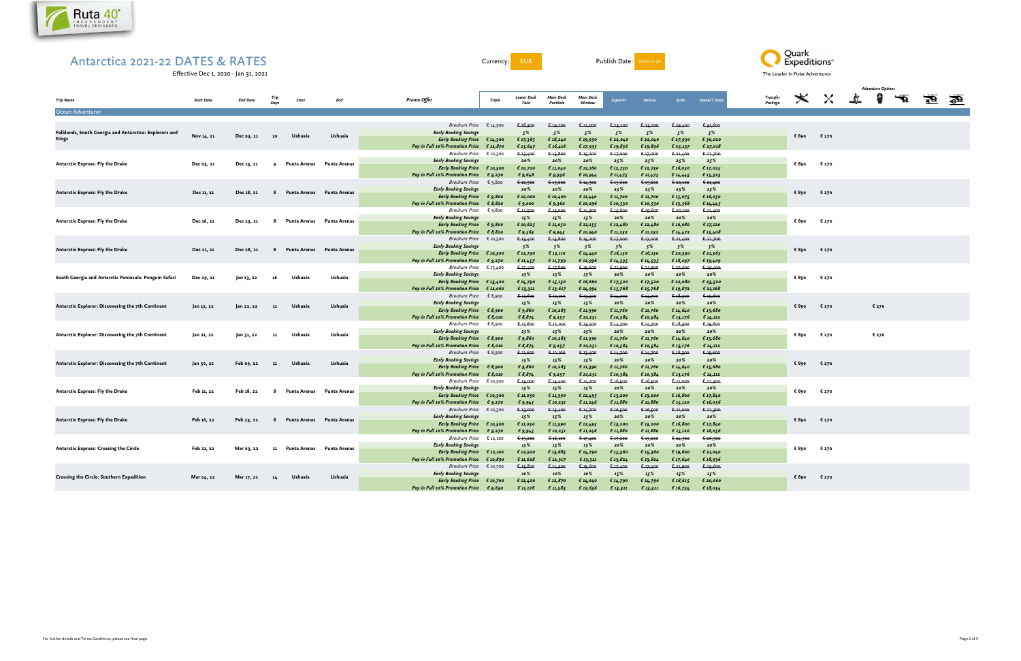

Currency: EUR Publish Date: 2020-11-30

Effective Dec 1, 2020 - Jan 31, 2021

| <b>Trip Name</b>                                                       | <b>Start Date</b> | <b>End Date</b> | Days | <b>Start</b>                | End          | <b>Promo Offer</b>                                                                                                                       | <b>Triple</b>                   | <b>Lower Deck</b><br>Twin                       | <b>Main Deck</b><br>Porthole                    | Main Deck<br>Window                                 | Superior                                | Deluxe                                    | <b>Suite</b>                              | <b>Owner's Suite</b>                           | Transfer<br>Package |       | <b>マスズ×</b> |       | $\overline{\mathbf{F}}$ | 蚕 | H |
|------------------------------------------------------------------------|-------------------|-----------------|------|-----------------------------|--------------|------------------------------------------------------------------------------------------------------------------------------------------|---------------------------------|-------------------------------------------------|-------------------------------------------------|-----------------------------------------------------|-----------------------------------------|-------------------------------------------|-------------------------------------------|------------------------------------------------|---------------------|-------|-------------|-------|-------------------------|---|---|
| Ocean Adventurer                                                       |                   |                 |      |                             |              |                                                                                                                                          |                                 |                                                 |                                                 |                                                     |                                         |                                           |                                           |                                                |                     |       |             |       |                         |   |   |
| Falklands, South Georgia and Antarctica: Explorers and<br><b>Kings</b> | Nov 14, 21        | Dec 03, 21      | 20   | Ushuaia                     | Ushuaia      | <b>Brochure Price</b><br><b>Early Booking Savings</b><br>Early Booking Price $\epsilon$ 14,300                                           | € 14,300                        | € 18,300<br>5%<br>€ 17,385                      | € 19,200<br>5%<br>€ $18,240$                    | € 21,000<br>5%<br>€ 19,950                          | € 23,200<br>5%<br>€ 22,040              | € 23,200<br>5%<br>€ 22,040                | € 29,400<br>5%<br>€ 27,930                | € 31,600<br>5%<br>€ 30,020                     |                     | € 890 | € 270       |       |                         |   |   |
| <b>Antarctic Express: Fly the Drake</b>                                | Dec 05, 21        | Dec 13, 21      | 9    | Punta Arenas Punta Arenas   |              | Pay in Full 10% Promotion Price<br><b>Brochure Price</b><br><b>Early Booking Savings</b><br>Early Booking Price € 10,300                 | € 12,870<br>€ 10,300            | € 15,647<br>€ 13,400<br>20%<br>€ 10,720         | € 16,416<br>€ 13,800<br>20%<br>€ 11,040         | € 17,955<br>€ 15,200<br>20%<br>€ 12,160             | € 19,836<br>€ 17,000<br>25%<br>€ 12,750 | € 19,836<br>€ 17,000<br>25%<br>€ 12,750   | € 25,137<br>€ 21,400<br>25%<br>€ 16,050   | € 27,018<br>€ 22,700<br>25%<br>€ 17,025        |                     | € 890 | € 270       |       |                         |   |   |
| <b>Antarctic Express: Fly the Drake</b>                                | Dec 11, 21        | Dec 18, 21      | - 8  | Punta Arenas Punta Arenas   |              | Pay in Full 10% Promotion Price<br><b>Brochure Price</b><br><b>Early Booking Savings</b><br><b>Early Booking Price</b>                   | € 9,270<br>€ 9,800<br>€ 9,800   | € 9,648<br>€ 12,500<br>20%<br>€ 10,000          | $\epsilon$ 9,936<br>€ 13,000<br>20%<br>€ 10,400 | € 10,944<br>€ 14,300<br>20%<br>€ 11,440             | € 11,475<br>€ 15,600<br>25%<br>€ 11,700 | € 11,475<br>€ 15,600<br>25%<br>€ 11,700   | € 14,445<br>€ 20,100<br>25%<br>€ 15,075   | €15,323<br>6.21,400<br>25%<br>€16,050          |                     | € 890 | € 270       |       |                         |   |   |
| <b>Antarctic Express: Fly the Drake</b>                                | Dec 16, 21        | Dec 23, 21      | - 8  | Punta Arenas Punta Arenas   |              | Pay in Full 10% Promotion Price<br><b>Brochure Price</b><br><b>Early Booking Savings</b><br><b>Early Booking Price</b>                   | \$8,820<br>€ 9,800<br>€ 9,800   | € 9,000<br>€ 12,500<br>15%<br>€ 10,625          | € 9,360<br>€ 13,000<br>15%<br>€ 11,050          | € 10,296<br>€ 14,300<br>15%<br>€ 12,155             | € 10,530<br>€ 15,600<br>20%<br>€ 12,480 | € 10,530<br>€ 15,600<br>20%<br>€ 12,480   | € 13,568<br>€ 20,100<br>20%<br>€ 16,080   | € $14, 445$<br>$6 - 21,400$<br>20%<br>€ 17,120 |                     | € 890 | € 270       |       |                         |   |   |
| Antarctic Express: Fly the Drake                                       | Dec 21, 21        | Dec 28, 21      | 8    | Punta Arenas                | Punta Arenas | Pay in Full 10% Promotion Price<br><b>Brochure Price</b><br><b>Early Booking Savings</b>                                                 | € 8,820<br>€ 10,300             | € 9,563<br>€ 13,400<br>5%                       | € 9,945<br>€ 13,800<br>5%                       | € 10,940<br>€ 15,200<br>5%                          | € 11,232<br>€ 17,000<br>5%              | € 11,232<br>€ 17,000<br>5%                | € $14,472$<br>€ 21,400<br>5%              | € 15,408<br>€ 22,700<br>5%                     |                     | € 890 | € 270       |       |                         |   |   |
| South Georgia and Antarctic Peninsula: Penguin Safari                  | Dec 29, 21        |                 |      | Ushuaia                     | Ushuaia      | <b>Early Booking Price</b><br><b>Pay in Full 10% Promotion Price</b><br><b>Brochure Price</b><br><b>Early Booking Savings</b>            | € 10,300<br>€ 9,270<br>€ 13,400 | € 12,730<br>€ 11,457<br>€ 17,400<br>15%         | € 13,110<br>€ 11,799<br>€ 17,800<br>15%         | € 14,440<br>€ 12,996<br>€ 19,600<br>15%             | € 16,150<br>€ 14,535<br>€ 21,900<br>20% | € $16,150$<br>€ 14,535<br>€ 21,900<br>20% | € 20,330<br>€ $18,297$<br>€ 27,600<br>20% | € 21,565<br>€ 19,409<br>€ 29,400<br>20%        |                     | € 890 | € 270       |       |                         |   |   |
|                                                                        |                   | Jan 13, 22      | 16   |                             |              | Early Booking Price € 13,400<br><b>Pay in Full 10% Promotion Price</b><br><b>Brochure Price</b><br><b>Early Booking Savings</b>          | € 12,060<br>€ 8,900             | € 14,790<br>€ 13,311<br>€ 11,600<br>15%         | € 15,130<br>€ 13,617<br>€ 12,100<br>15%         | € 16,660<br>€ 14,994<br><del>€ 13,400</del><br>15%  | € 17,520<br>€ 15,768<br>€ 14,700<br>20% | € 17,520<br>€ 15,768<br>€ 14,700<br>20%   | € 22,080<br>€ 19,872<br>€ 18,300<br>20%   | € 23,520<br>€ 21,168<br>€ 19,600<br>20%        |                     |       |             |       |                         |   |   |
| Antarctic Explorer: Discovering the 7th Continent                      | Jan 12, 22        | Jan 22, 22      | 11   | Ushuaia                     | Ushuaia      | <b>Early Booking Price</b><br><b>Pay in Full 10% Promotion Price</b><br>Brochure Price                                                   | € 8,900<br>€ 8,010<br>€ 8,900   | € 9,860<br>€ 8,874<br>€ 11,600                  | € 10,285<br>€ $9,257$<br>€ 12,100               | € 11,390<br>€ 10,251<br>€ 13,400                    | € 11,760<br>€ 10,584<br>€ 14,700        | € 11,760<br>€ 10,584<br>€ 14,700          | € 14,640<br>€ 13,176<br>€18,300           | € 15,680<br>€ $14,112$<br>€ 19,600             |                     | € 890 | € 270       | € 270 |                         |   |   |
| Antarctic Explorer: Discovering the 7th Continent                      | Jan 21, 22        | Jan 31, 22      | -11  | Ushuaia                     | Ushuaia      | <b>Early Booking Savings</b><br><b>Early Booking Price</b><br>Pay in Full 10% Promotion Price<br><b>Brochure Price</b>                   | € 8,900<br>€ 8,010<br>€ 8,900   | 15%<br>€ 9,860<br>€ $8,874$<br>€ 11,600         | 15%<br>€ 10,285<br>€ $9,257$<br>6.12,100        | 15%<br>€ 11,390<br>€ 10,251<br>€ 13,400             | 20%<br>€ 11,760<br>€ 10,584<br>€ 14,700 | 20%<br>€ 11,760<br>€ 10,584<br>€ 14,700   | 20%<br>€ 14,640<br>€ 13,176<br>€ 18,300   | 20%<br>€ 15,680<br>€ $14,112$<br>€ 19,600      |                     | € 890 | € 270       | € 270 |                         |   |   |
| Antarctic Explorer: Discovering the 7th Continent                      | Jan 30, 22        | Feb 09, 22      | -11  | Ushuaia                     | Ushuaia      | <b>Early Booking Savings</b><br>Early Booking Price $\epsilon$ 8,900<br>Pay in Full 10% Promotion Price                                  | € 8,010                         | 15%<br>€ 9,860<br>€ $8,874$                     | 15%<br>€ 10,285<br>€ $9,257$                    | 15%<br>€ 11,390<br>€ 10,251                         | 20%<br>€ 11,760<br>€ 10,584             | 20%<br>€ 11,760<br>€ 10,584               | 20%<br>€ 14,640<br>€ 13,176               | 20%<br>€15,680<br>€ $14,112$                   |                     | € 890 | € 270       |       |                         |   |   |
| Antarctic Express: Fly the Drake                                       | Feb 11, 22        | Feb 18, 22      | - 8  | Punta Arenas Punta Arenas   |              | <b>Brochure Price</b><br><b>Early Booking Savings</b><br>Early Booking Price € 10,300<br><b>Pay in Full 10% Promotion Price</b>          | € 10,300<br>€ 9,270             | € 13,000<br>15%<br>€ 11,050<br>€ 9,945          | € 13,400<br>15%<br>€ 11,390<br>€ 10,251         | € 14,700<br>15%<br>€ 12,495<br>€ 11,246             | € 16,500<br>20%<br>€ 13,200<br>€ 11,880 | € 16,500<br>20%<br>€ 13,200<br>€ 11,880   | € 21,000<br>20%<br>€ 16,800<br>€ 15,120   | € 22,300<br>20%<br>€ 17,840<br>€ 16,056        |                     | € 890 | € 270       |       |                         |   |   |
| <b>Antarctic Express: Fly the Drake</b>                                | Feb 16, 22        | Feb 23, 22      |      | 8 Punta Arenas Punta Arenas |              | <i>Brochure Price</i> $\epsilon$ 10,300<br><b>Early Booking Savings</b><br><b>Early Booking Price</b><br>Pay in Full 10% Promotion Price | € 10,300<br>€ 9,270             | € 13,000<br>15%<br>€ 11,050<br>$\epsilon$ 9,945 | € 13,400<br>15%<br>€ 11,390<br>€ 10,251         | € 14,700<br>15%<br>€ 12,495<br>€ 11,246             | € 16,500<br>20%<br>€ 13,200<br>€ 11,880 | € 16,500<br>20%<br>€ 13,200<br>€ 11,880   | 6.21,000<br>20%<br>€ 16,800<br>€ 15,120   | € 22,300<br>20%<br>€ 17,840<br>€ 16,056        |                     | € 890 | € 270       |       |                         |   |   |
| Antarctic Express: Crossing the Circle                                 | Feb 21, 22        | Mar 03, 22      | - 11 | Punta Arenas Punta Arenas   |              | Brochure Price $\epsilon$ 12,100<br><b>Early Booking Savings</b><br><b>Early Booking Price</b><br><b>Pay in Full 10% Promotion Price</b> | € 12,100<br>€ 10,890            | € 15,200<br>15%<br>€ 12,920<br>€ 11,628         | 6.16,100<br>15%<br>€ 13,685<br>€ 12,317         | € 17,400<br>15%<br>€ 14,790                         | € 19,200<br>20%<br>€ 15,360<br>€ 13,824 | € 19,200<br>20%<br>€ 15,360<br>€ 13,824   | € 24,500<br>20%<br>€ 19,600<br>€ 17,640   | € 26,300<br>20%<br>€ 21,040<br>€ 18,936        |                     | € 890 | € 270       |       |                         |   |   |
| <b>Crossing the Circle: Southern Expedition</b>                        | Mar 04, 22        | Mar 17, 22      | 14   | Ushuaia                     | Ushuaia      | <b>Brochure Price</b><br><b>Early Booking Savings</b><br>Early Booking Price € 10,700<br><b>Pay in Full 10% Promotion Price</b>          | € 10,700<br>£9,630              | € 13,800<br>10%<br>€ 12,420<br>€ 11,178         | € 14,300<br>10%<br>€ 12,870<br>€ 11,583         | € 13,311<br>€ 15,600<br>10%<br>€ 14,040<br>€ 12,636 | € 17,400<br>15%<br>€ 14,790<br>€ 13,311 | € 17,400<br>15%<br>€ 14,790<br>€ 13,311   | € 21,900<br>15%<br>€ 18,615<br>€ $16,754$ | € 23,600<br>15%<br>€ 20,060<br>€ 18,054        |                     | € 890 | € 270       |       |                         |   |   |
|                                                                        |                   |                 |      |                             |              |                                                                                                                                          |                                 |                                                 |                                                 |                                                     |                                         |                                           |                                           |                                                |                     |       |             |       |                         |   |   |



|                     |             |              |                | <b>Adventure Options</b> |                         |  |
|---------------------|-------------|--------------|----------------|--------------------------|-------------------------|--|
| Transfer<br>Package |             | $\mathsf{X}$ | Ŝ.,            | 8                        | $\overline{\mathbf{F}}$ |  |
|                     |             |              |                |                          |                         |  |
|                     |             |              |                |                          |                         |  |
|                     | € 890 € 270 |              |                |                          |                         |  |
|                     |             |              |                |                          |                         |  |
|                     |             |              |                |                          |                         |  |
|                     | € 890 € 270 |              |                |                          |                         |  |
|                     |             |              |                |                          |                         |  |
|                     | € 890 € 270 |              |                |                          |                         |  |
|                     |             |              |                |                          |                         |  |
|                     |             |              |                |                          |                         |  |
|                     | € 890 € 270 |              |                |                          |                         |  |
|                     |             |              |                |                          |                         |  |
|                     | € 890 € 270 |              |                |                          |                         |  |
|                     |             |              |                |                          |                         |  |
|                     |             |              |                |                          |                         |  |
|                     | €890 €270   |              |                |                          |                         |  |
|                     |             |              |                |                          |                         |  |
|                     | € 890 € 270 |              |                | € 270                    |                         |  |
|                     |             |              |                |                          |                         |  |
|                     | €890 €270   |              | $\epsilon$ 270 |                          |                         |  |
|                     |             |              |                |                          |                         |  |
|                     |             |              |                |                          |                         |  |
|                     | € 890 € 270 |              |                |                          |                         |  |
|                     |             |              |                |                          |                         |  |
|                     | €890 €270   |              |                |                          |                         |  |
|                     |             |              |                |                          |                         |  |
|                     | € 890 € 270 |              |                |                          |                         |  |
|                     |             |              |                |                          |                         |  |
|                     |             |              |                |                          |                         |  |
|                     | € 890 € 270 |              |                |                          |                         |  |
|                     |             |              |                |                          |                         |  |
|                     | € 890 € 270 |              |                |                          |                         |  |
|                     |             |              |                |                          |                         |  |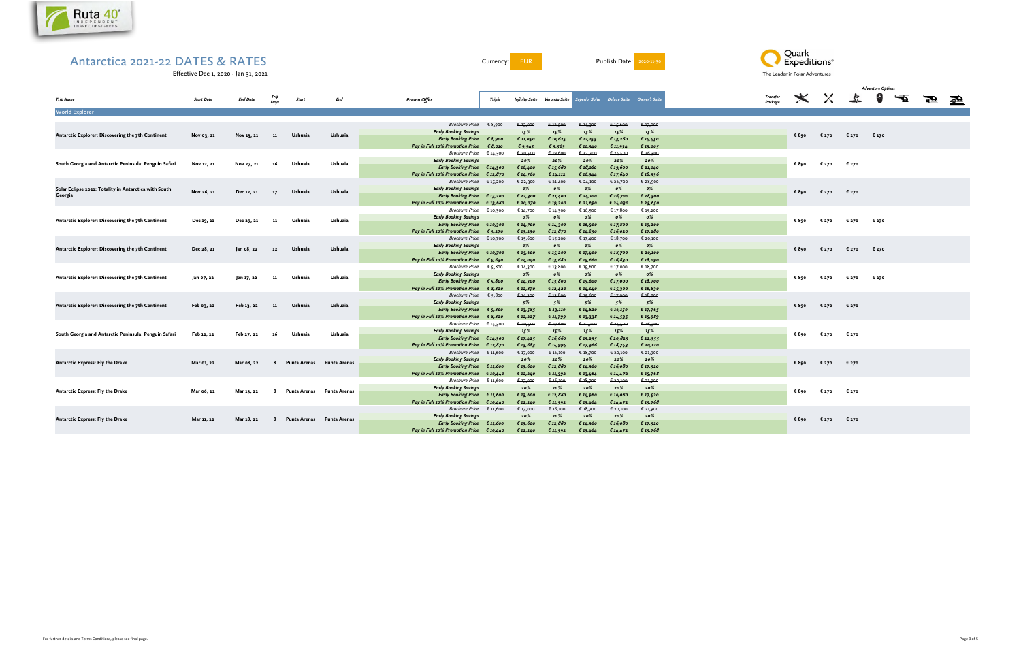

Currency: EUR Publish Date: 2020-11-30

Effective Dec 1, 2020 - Jan 31, 2021



| <b>Trip Name</b>                                      | <b>Start Date</b> | <b>End Date</b> | Days      | <b>Start</b>              | End     | <b>Promo Offer</b>                                | Triple   |                  | <b>Infinity Suite Veranda Suite Superior Suite Deluxe Suite Owner's Suite</b> |                  |                  |            | <b>Transfer</b><br>Package |                                                                                                                                                                                 | $\star$ $\times$ | $\mathcal{L}_{\mathcal{L}}$ | 8     | ₹ | 蚕 | $\overline{\mathbf{z}}$ |
|-------------------------------------------------------|-------------------|-----------------|-----------|---------------------------|---------|---------------------------------------------------|----------|------------------|-------------------------------------------------------------------------------|------------------|------------------|------------|----------------------------|---------------------------------------------------------------------------------------------------------------------------------------------------------------------------------|------------------|-----------------------------|-------|---|---|-------------------------|
| <b>World Explorer</b>                                 |                   |                 |           |                           |         |                                                   |          |                  |                                                                               |                  |                  |            |                            |                                                                                                                                                                                 |                  |                             |       |   |   |                         |
|                                                       |                   |                 |           |                           |         | Brochure Price $\epsilon$ 8,900                   |          |                  |                                                                               |                  |                  | € 17,000   |                            |                                                                                                                                                                                 |                  |                             |       |   |   |                         |
|                                                       |                   |                 |           |                           |         | <b>Early Booking Savings</b>                      |          | € 13,000<br>15%  | € 12,500<br>15%                                                               | € 14,300<br>15%  | € 15,600<br>15%  | 15%        |                            |                                                                                                                                                                                 |                  |                             |       |   |   |                         |
| Antarctic Explorer: Discovering the 7th Continent     | Nov 03, 21        | Nov 13, 21      | -11       | Ushuaia                   | Ushuaia | Early Booking Price $\epsilon$ 8,900              |          | € 11,050         | € 10,625                                                                      | € 12,155         | € 13,260         | € 14,450   |                            | € 890                                                                                                                                                                           | € 270            | € 270                       | € 270 |   |   |                         |
|                                                       |                   |                 |           |                           |         | Pay in Full 10% Promotion Price                   | € 8,010  | € 9,945          | £9,563                                                                        | € 10,940         | € 11,934         | € 13,005   |                            |                                                                                                                                                                                 |                  |                             |       |   |   |                         |
|                                                       |                   |                 |           |                           |         | <i>Brochure Price</i> $\epsilon$ 14,300           |          | € 20,500         | € 19,600                                                                      | € 22,700         | € 24,500         | € 26,300   |                            |                                                                                                                                                                                 |                  |                             |       |   |   |                         |
|                                                       |                   |                 |           |                           |         | <b>Early Booking Savings</b>                      |          | 20%              | 20%                                                                           | 20%              | 20%              | 20%        |                            |                                                                                                                                                                                 |                  |                             |       |   |   |                         |
| South Georgia and Antarctic Peninsula: Penguin Safari | Nov 12, 21        | Nov 27, 21      |           | Ushuaia                   | Ushuaia | Early Booking Price $\epsilon$ 14,300             |          | € 16,400         | € 15,680                                                                      | € 18,160         | € 19,600         | € 21,040   |                            | € 890                                                                                                                                                                           | € 270            | € 270                       |       |   |   |                         |
|                                                       |                   |                 |           |                           |         | Pay in Full 10% Promotion Price $\epsilon$ 12,870 |          | € 14,760         | € 14,112                                                                      | € 16,344         | € 17,640         | € $18,936$ |                            |                                                                                                                                                                                 |                  |                             |       |   |   |                         |
|                                                       |                   |                 |           |                           |         | <i>Brochure Price</i> € 15,200                    |          | € 22,300         | € 21,400                                                                      | € 24,100         | € 26,700         | € 28,500   |                            |                                                                                                                                                                                 |                  |                             |       |   |   |                         |
| Solar Eclipse 2021: Totality in Antarctica with South |                   |                 |           |                           |         | <b>Early Booking Savings</b>                      |          | $\mathfrak{o}\%$ | $\mathfrak{o}\%$                                                              | 0%               | $\mathfrak{o}\%$ | 0%         |                            |                                                                                                                                                                                 |                  |                             |       |   |   |                         |
| Georgia                                               | Nov 26, 21        | Dec 12, 21      | <b>17</b> | Ushuaia                   | Ushuaia | Early Booking Price $\epsilon$ 15,200             |          | £22,300          | € 21,400                                                                      | € 24,100         | € 26,700         | € 28,500   |                            | € 890                                                                                                                                                                           | € 270            | € 270                       |       |   |   |                         |
|                                                       |                   |                 |           |                           |         | Pay in Full 10% Promotion Price                   | € 13,680 | € 20,070         | € 19,260                                                                      | € 21,690         | € 24,030         | € 25,650   |                            |                                                                                                                                                                                 |                  |                             |       |   |   |                         |
|                                                       |                   |                 |           |                           |         | <i>Brochure Price</i> $\epsilon$ 10,300           |          | € 14,700         | € 14,300                                                                      | € 16,500         | € 17,800         | € 19,200   |                            |                                                                                                                                                                                 |                  |                             |       |   |   |                         |
|                                                       |                   |                 |           |                           |         | <b>Early Booking Savings</b>                      |          | $\mathfrak{o}\%$ | $\mathfrak{o}\%$                                                              | 0%               | $\mathfrak{o}\%$ | $0\%$      |                            |                                                                                                                                                                                 |                  |                             |       |   |   |                         |
| Antarctic Explorer: Discovering the 7th Continent     | Dec 19, 21        | Dec 29, 21      | -11       | Ushuaia                   | Ushuaia | Early Booking Price $\epsilon$ 10,300             |          | € 14,700         | € 14,300                                                                      | € 16,500         | € 17,800         | € 19,200   |                            | € 890                                                                                                                                                                           | € 270            | € 270                       | € 270 |   |   |                         |
|                                                       |                   |                 |           |                           |         | Pay in Full 10% Promotion Price                   | € 9,270  | € 13,230         | € 12,870                                                                      | € 14,850         | € 16,020         | € 17,280   |                            |                                                                                                                                                                                 |                  |                             |       |   |   |                         |
|                                                       |                   |                 |           |                           |         | <i>Brochure Price</i> € 10,700                    |          | € 15,600         | € 15,200                                                                      | € 17,400         | € 18,700         | € 20,100   |                            |                                                                                                                                                                                 |                  |                             |       |   |   |                         |
|                                                       |                   |                 |           |                           |         | <b>Early Booking Savings</b>                      |          | $\mathfrak{o}\%$ | 0%                                                                            | $\mathfrak{o}\%$ | $\mathfrak{o}\%$ | 0%         |                            |                                                                                                                                                                                 |                  |                             |       |   |   |                         |
| Antarctic Explorer: Discovering the 7th Continent     | Dec 28, 21        | Jan 08, 22      | - 12      | Ushuaia                   | Ushuaia | Early Booking Price $\epsilon$ 10,700             |          | € 15,600         | € 15,200                                                                      | € 17,400         | € 18,700         | € 20,100   |                            | € 890                                                                                                                                                                           | € 270            | € 270                       |       |   |   |                         |
|                                                       |                   |                 |           |                           |         | Pay in Full 10% Promotion Price                   | €9,630   | € 14,040         | € 13,680                                                                      | € 15,660         | € 16,830         | € 18,090   |                            |                                                                                                                                                                                 |                  |                             |       |   |   |                         |
|                                                       |                   |                 |           |                           |         | <i>Brochure Price</i> $\epsilon$ 9,800            |          | € 14,300         | € 13,800                                                                      | € 15,600         | € 17,000         | € 18,700   |                            |                                                                                                                                                                                 |                  |                             |       |   |   |                         |
|                                                       |                   |                 |           |                           |         | <b>Early Booking Savings</b>                      |          | $o\%$            | $\mathfrak{o}\%$                                                              | $0\%$            | $\mathfrak{o}\%$ | 0%         |                            |                                                                                                                                                                                 |                  |                             |       |   |   |                         |
| Antarctic Explorer: Discovering the 7th Continent     | Jan 07, 22        | Jan 17, 22      | - 11      | Ushuaia                   | Ushuaia | Early Booking Price $\epsilon$ 9,800              |          | € 14,300         | € 13,800                                                                      | € 15,600         | € 17,000         | € $18,700$ |                            |                                                                                                                                                                                 |                  |                             |       |   |   |                         |
|                                                       |                   |                 |           |                           |         | Pay in Full 10% Promotion Price                   | € 8,820  | € 12,870         | € 12,420                                                                      | € 14,040         | € 15,300         | € 16,830   |                            |                                                                                                                                                                                 |                  |                             |       |   |   |                         |
|                                                       |                   |                 |           |                           |         | <i>Brochure Price</i> $\epsilon$ 9,800            |          | € 14,300         | € 13,800                                                                      | € 15,600         | € 17,000         | € 18,700   |                            |                                                                                                                                                                                 |                  |                             |       |   |   |                         |
|                                                       |                   |                 |           |                           |         | <b>Early Booking Savings</b>                      |          | 5%               | 5%                                                                            | 5%               | 5%               | 5%         |                            |                                                                                                                                                                                 |                  |                             |       |   |   |                         |
| Antarctic Explorer: Discovering the 7th Continent     | Feb 03, 22        | Feb 13, 22      | - 11      | Ushuaia                   | Ushuaia | Early Booking Price $\epsilon$ 9,800              |          | € 13,585         | € 13,110                                                                      | € 14,820         | € 16,150         | € 17,765   |                            |                                                                                                                                                                                 |                  |                             |       |   |   |                         |
|                                                       |                   |                 |           |                           |         | <b>Pay in Full 10% Promotion Price</b>            | € 8,820  | € 12,227         | € 11,799                                                                      | €13,338          | € 14,535         | € 15,989   |                            |                                                                                                                                                                                 |                  |                             |       |   |   |                         |
|                                                       |                   |                 |           |                           |         | <i>Brochure Price</i> $\epsilon$ 14,300           |          | € 20,500         | € 19,600                                                                      | € 22,700         | €-24,500         | € 26,300   |                            |                                                                                                                                                                                 |                  |                             |       |   |   |                         |
|                                                       |                   |                 |           |                           |         | <b>Early Booking Savings</b>                      |          | 15%              | 15%                                                                           | 15%              | 15%              | 15%        |                            |                                                                                                                                                                                 |                  |                             |       |   |   |                         |
| South Georgia and Antarctic Peninsula: Penguin Safari | Feb 12, 22        | Feb 27, 22      | - 16      | Ushuaia                   | Ushuaia | Early Booking Price $\epsilon$ 14,300             |          | € 17,425         | € 16,660                                                                      | € 19,295         | € 20,825         | € 22,355   |                            |                                                                                                                                                                                 |                  |                             |       |   |   |                         |
|                                                       |                   |                 |           |                           |         | Pay in Full 10% Promotion Price $\epsilon$ 12,870 |          | €15,683          | € 14,994                                                                      | € 17,366         | € $18,743$       | € 20,120   |                            |                                                                                                                                                                                 |                  |                             |       |   |   |                         |
|                                                       |                   |                 |           |                           |         | <i>Brochure Price</i> $€ 11,600$                  |          | € 17,000         | € 16,100                                                                      | € 18,700         | € 20,100         | € 21,900   |                            |                                                                                                                                                                                 |                  |                             |       |   |   |                         |
|                                                       |                   |                 |           |                           |         | <b>Early Booking Savings</b>                      |          | 20%              | 20%                                                                           | 20%              | 20%              | 20%        |                            |                                                                                                                                                                                 |                  |                             |       |   |   |                         |
| <b>Antarctic Express: Fly the Drake</b>               | Mar 01, 22        | Mar 08, 22      | - 8       | Punta Arenas Punta Arenas |         | Early Booking Price $\epsilon$ 11,600             |          | € 13,600         | € 12,880                                                                      | € 14,960         | € 16,080         | € 17,520   |                            |                                                                                                                                                                                 |                  |                             |       |   |   |                         |
|                                                       |                   |                 |           |                           |         | Pay in Full 10% Promotion Price $\epsilon$ 10,440 |          | € 12,240         | € 11,592                                                                      | € 13,464         | € $14,472$       | € 15,768   |                            |                                                                                                                                                                                 |                  |                             |       |   |   |                         |
|                                                       |                   |                 |           |                           |         | <i>Brochure Price</i> $\epsilon$ 11,600           |          | € 17,000         | 6.16,100                                                                      | €18,700          | € 20,100         | € 21,900   |                            |                                                                                                                                                                                 |                  |                             |       |   |   |                         |
|                                                       |                   |                 |           |                           |         | <b>Early Booking Savings</b>                      |          | 20%              | 20%                                                                           | 20%              | 20%              | 20%        |                            |                                                                                                                                                                                 |                  |                             |       |   |   |                         |
| Antarctic Express: Fly the Drake                      | Mar 06, 22        | Mar 13, 22      | 8         | Punta Arenas Punta Arenas |         | <b>Early Booking Price</b>                        | € 11,600 | € 13,600         | € 12,880                                                                      | € 14,960         | € 16,080         | € 17,520   |                            |                                                                                                                                                                                 |                  |                             |       |   |   |                         |
|                                                       |                   |                 |           |                           |         | Pay in Full 10% Promotion Price $\epsilon$ 10,440 |          | € 12,240         | € 11,592                                                                      | € 13,464         | € $14, 472$      | € 15,768   |                            |                                                                                                                                                                                 |                  |                             |       |   |   |                         |
|                                                       |                   |                 |           |                           |         | <i>Brochure Price</i> $€ 11,600$                  |          | € 17,000         | 6.16,100                                                                      | 6.18,700         | € 20,100         | 6.21,900   |                            |                                                                                                                                                                                 |                  |                             |       |   |   |                         |
|                                                       |                   |                 |           |                           |         | <b>Early Booking Savings</b>                      |          | 20%              | 20%                                                                           | 20%              | 20%              | 20%        |                            |                                                                                                                                                                                 |                  |                             |       |   |   |                         |
| Antarctic Express: Fly the Drake                      | Mar 11, 22        | Mar 18, 22      | -8        | Punta Arenas Punta Arenas |         | <b>Early Booking Price</b>                        | € 11,600 | € 13,600         | € 12,880                                                                      | € 14,960         | € 16,080         | € 17,520   |                            |                                                                                                                                                                                 |                  |                             |       |   |   |                         |
|                                                       |                   |                 |           |                           |         | Pay in Full 10% Promotion Price $\epsilon$ 10,440 |          | € 12,240         | € 11,592                                                                      | € 13,464         | € 14,472         | € 15,768   |                            | € 270<br>€ 890<br>€ 270<br>€ 270<br>€ 270<br>€ 270<br>€ 890<br>€ 270<br>€ 270<br>€ 270<br>€890<br>€ 890<br>€ 270<br>€ 270<br>€ 890<br>€ 270<br>€ 270<br>€ 890<br>€ 270<br>€ 270 |                  |                             |       |   |   |                         |
|                                                       |                   |                 |           |                           |         |                                                   |          |                  |                                                                               |                  |                  |            |                            |                                                                                                                                                                                 |                  |                             |       |   |   |                         |

|                     |                        |                     | <b>Adventure Options</b> |                        |  |
|---------------------|------------------------|---------------------|--------------------------|------------------------|--|
| Transfer<br>Package | $\times$ $\frac{1}{2}$ |                     | 8                        | $\boldsymbol{\varphi}$ |  |
|                     |                        |                     |                          |                        |  |
|                     |                        |                     |                          |                        |  |
|                     |                        |                     |                          |                        |  |
|                     |                        | €890 €270 €270 €270 |                          |                        |  |
|                     |                        |                     |                          |                        |  |
|                     |                        |                     |                          |                        |  |
|                     | €890 €270 €270         |                     |                          |                        |  |
|                     |                        |                     |                          |                        |  |
|                     |                        |                     |                          |                        |  |
|                     | €890 €270 €270         |                     |                          |                        |  |
|                     |                        |                     |                          |                        |  |
|                     |                        |                     |                          |                        |  |
|                     |                        | €890 €270 €270 €270 |                          |                        |  |
|                     |                        |                     |                          |                        |  |
|                     |                        |                     |                          |                        |  |
|                     |                        | €890 €270 €270 €270 |                          |                        |  |
|                     |                        |                     |                          |                        |  |
|                     |                        |                     |                          |                        |  |
|                     |                        | €890 €270 €270 €270 |                          |                        |  |
|                     |                        |                     |                          |                        |  |
|                     |                        |                     |                          |                        |  |
|                     |                        |                     |                          |                        |  |
|                     | €890 €270 €270         |                     |                          |                        |  |
|                     |                        |                     |                          |                        |  |
|                     |                        |                     |                          |                        |  |
|                     | €890 €270 €270         |                     |                          |                        |  |
|                     |                        |                     |                          |                        |  |
|                     |                        |                     |                          |                        |  |
|                     | €890 €270 €270         |                     |                          |                        |  |
|                     |                        |                     |                          |                        |  |
|                     |                        |                     |                          |                        |  |
|                     | €890 €270 €270         |                     |                          |                        |  |
|                     |                        |                     |                          |                        |  |
|                     |                        |                     |                          |                        |  |
|                     | €890 €270 €270         |                     |                          |                        |  |
|                     |                        |                     |                          |                        |  |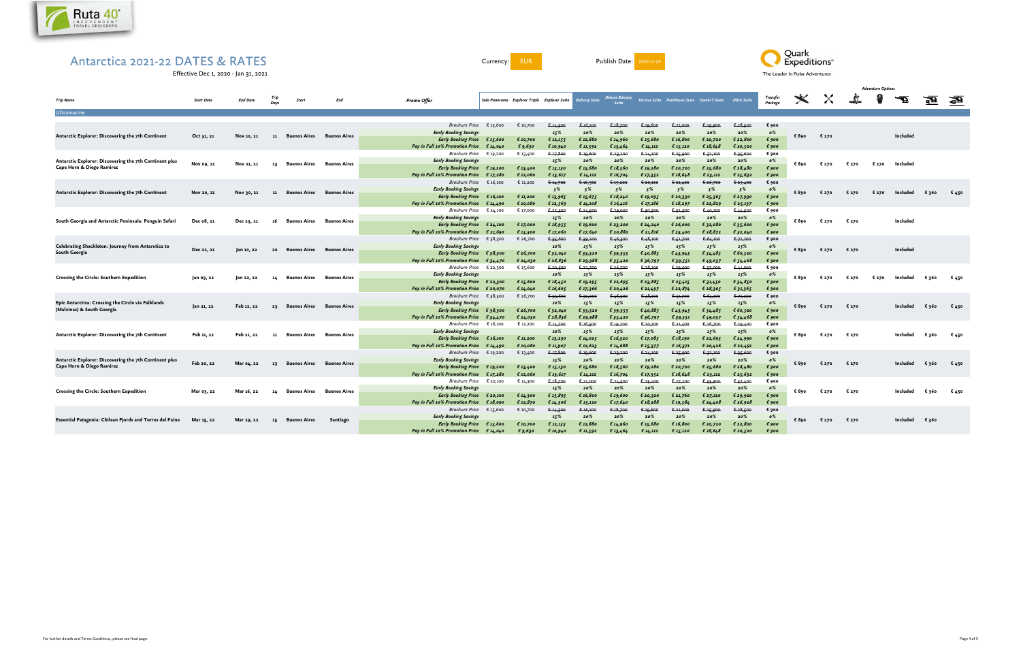

Currency: EUR Publish Date: 2020-11-30

Effective Dec 1, 2020 - Jan 31, 2021



|                                                                                     |                   |                 |              |              |                                        |                                                                      |                      |          |                                                            |                      |                      |                       |                                                                           |                      |                      |                                    | <b>Adventure Options</b> |          |       |       |                         |       |              |
|-------------------------------------------------------------------------------------|-------------------|-----------------|--------------|--------------|----------------------------------------|----------------------------------------------------------------------|----------------------|----------|------------------------------------------------------------|----------------------|----------------------|-----------------------|---------------------------------------------------------------------------|----------------------|----------------------|------------------------------------|--------------------------|----------|-------|-------|-------------------------|-------|--------------|
| <b>Trip Name</b>                                                                    | <b>Start Date</b> | <b>End Date</b> | Trip<br>Davs | Start        | End                                    | <b>Promo Offer</b>                                                   |                      |          | Solo Panorama Explorer Triple Explorer Suite Balcony Suite |                      |                      |                       | Deluxe Balcony<br>Terrace Suite Penthouse Suite Owner's Suite Ultra Suite |                      |                      | Transfer<br>Package                | $\bigstar$               | $\times$ | 5     | 8     | $\overline{\mathbf{r}}$ | 蚕     | $\mathbf{E}$ |
| <b>Ultramarine</b>                                                                  |                   |                 |              |              |                                        |                                                                      |                      |          |                                                            |                      |                      |                       |                                                                           |                      |                      |                                    |                          |          |       |       |                         |       |              |
|                                                                                     |                   |                 |              |              |                                        | <b>Brochure Price</b>                                                | € 15,600             | € 10,700 |                                                            | 6.16,100             | 6.18,700             | 6.19,600              | € 21.000                                                                  |                      | € 28,500             |                                    |                          |          |       |       |                         |       |              |
|                                                                                     |                   |                 |              |              |                                        | <b>Early Booking Savings</b>                                         |                      |          | 6.14,300<br>15%                                            | 20%                  | 20%                  | 20%                   | 20%                                                                       | € 25,900<br>20%      | 20%                  | € 900<br>0%                        |                          |          |       |       |                         |       |              |
| Antarctic Explorer: Discovering the 7th Continent                                   | Oct 31, 21        | Nov 10, 21      | 11           | Buenos Aires | <b>Buenos Aires</b>                    | <b>Early Booking Price</b>                                           | €15,600              | € 10,700 |                                                            | € 12,880             |                      |                       | € 16,800                                                                  | € 20,720             | € 22,800             | $\epsilon$ 900                     | € 890                    | € 270    |       |       | Included                |       |              |
|                                                                                     |                   |                 |              |              |                                        | <b>Pay in Full 10% Promotion Price</b>                               | € 14,040             | € 9,630  | € 12,155<br>€ 10,940                                       | € 11,592             | € 14,960<br>€ 13,464 | €15,680<br>€ $14,112$ | € 15,120                                                                  | € 18,648             | € 20,520             | €900                               |                          |          |       |       |                         |       |              |
|                                                                                     |                   |                 |              |              |                                        | Brochure Price                                                       | € 19,200             | € 13,400 | € 17,800                                                   | € 19,600             | € 23,200             | € 24,100              | € 25,900                                                                  | € 32,100             | € 35,600             | € 900                              |                          |          |       |       |                         |       |              |
| Antarctic Explorer: Discovering the 7th Continent plus                              |                   |                 |              |              |                                        | <b>Early Booking Savings</b>                                         |                      |          | 15%                                                        | 20%                  | 20%                  | 20%                   | 20%                                                                       | 20%                  | 20%                  | 0%                                 |                          |          |       |       |                         |       |              |
| Cape Horn & Diego Ramirez                                                           | Nov 09, 21        | Nov 21, 21      | -13          | Buenos Aires | <b>Buenos Aires</b>                    | <b>Early Booking Price</b>                                           | € 19,200             | € 13,400 | € 15,130                                                   | € 15,680             | € 18,560             | € 19,280              | € 20,720                                                                  | €25,680              | € $28,480$           | $\epsilon$ 900                     | € 890                    | € 270    | € 270 | € 270 | Included                |       |              |
|                                                                                     |                   |                 |              |              |                                        | <b>Pay in Full 10% Promotion Price</b>                               | €17,280              | € 12,060 | € 13,617                                                   | € $14,112$           | € 16,704             | € 17,352              | € 18,648                                                                  | € 23,112             | € 25,632             | $\epsilon$ 900                     |                          |          |       |       |                         |       |              |
|                                                                                     |                   |                 |              |              |                                        | <b>Brochure Price</b>                                                | € 16,100             | € 11,200 | 6.14,700                                                   | € 16,500             | € 19,200             | € 20,100              | 621,400                                                                   | € 26,700             | € 29,400             | € 900                              |                          |          |       |       |                         |       |              |
|                                                                                     |                   |                 |              |              |                                        | <b>Early Booking Savings</b>                                         |                      |          | 5%                                                         | 5%                   | 5%                   | 5%                    | 5%                                                                        | 5%                   | 5%                   | 0%                                 |                          |          |       |       |                         |       |              |
| Antarctic Explorer: Discovering the 7th Continent                                   | Nov 20, 21        | Nov 30, 21      | - 11         | Buenos Aires | <b>Buenos Aires</b>                    | <b>Early Booking Price</b>                                           | €16,100              | € 11,200 | € 13,965                                                   | € 15,675             | € $18,240$           | € 19,095              | € 20,330                                                                  | £25,365              | € 27,930             | $\epsilon$ 900                     | € 890                    | € 270    | € 270 | € 270 | Included                | €360  | € 450        |
|                                                                                     |                   |                 |              |              |                                        | <b>Pay in Full 10% Promotion Price</b>                               | € 14,490             | € 10,080 | € 12,569                                                   | € 14,108             | € 16,416             | € 17,186              | € $18,297$                                                                | € 22,829             | € 25,137             | € 900                              |                          |          |       |       |                         |       |              |
|                                                                                     |                   |                 |              |              |                                        | Brochure Price                                                       | € 24,100             | € 17,000 | € 22,300                                                   | € 24,500             | € 29,000             | € 30,300              | € 32,500                                                                  | € 40,100             | € 44,500             | € 900                              |                          |          |       |       |                         |       |              |
|                                                                                     |                   |                 |              |              |                                        | <b>Early Booking Savings</b>                                         |                      |          | 15%                                                        | 20%                  | 20%                  | 20%                   | 20%                                                                       | 20%                  | 20%                  | $\mathfrak{o}\%$                   |                          |          |       |       |                         |       |              |
| South Georgia and Antarctic Peninsula: Penguin Safari                               | Dec 08, 21        | Dec 23, 21      | 16           | Buenos Aires | <b>Buenos Aires</b>                    | <b>Early Booking Price</b>                                           | € 24,100             | € 17,000 | € 18,955                                                   | € 19,600             | € 23,200             | € 24,240              | € 26,000                                                                  | € 32,080             | € 35,600             | $\epsilon$ 900                     | € 890                    | € 270    | € 270 |       | Included                |       |              |
|                                                                                     |                   |                 |              |              |                                        | <b>Pay in Full 10% Promotion Price</b>                               | £ 21,690             | € 15,300 | € 17,060                                                   | € 17,640             | € 20,880             | € 21,816              | € 23,400                                                                  | € 28,872             | € 32,040             | $\epsilon$ 900                     |                          |          |       |       |                         |       |              |
|                                                                                     |                   |                 |              |              |                                        | <i>Brochure Price</i> $\epsilon$ 38,300                              |                      | € 26,700 | € 35,600                                                   | € 39,200             | € 46,300             | € 48,100              | <del>€ 51,700</del>                                                       | € 64,100             | € 71,200             | € 900                              |                          |          |       |       |                         |       |              |
| Celebrating Shackleton: Journey from Antarctica to                                  |                   |                 |              |              |                                        | <b>Early Booking Savings</b>                                         |                      |          | 10%                                                        | 15%                  | 15%                  | 15%                   | 15%                                                                       | 15%                  | 15%                  | $\mathfrak{o}\%$                   |                          |          |       |       |                         |       |              |
| South Georgia                                                                       | Dec 22, 21        | jan 10, 22      | 20           | Buenos Aires | <b>Buenos Aires</b>                    | <b>Early Booking Price</b>                                           | €38,300              | € 26,700 | € 32,040                                                   | € 33,320             | € 39,355             | €40,885               | €43,945                                                                   | € 54,485             | € 60,520             | $\epsilon$ 900                     | € 890                    | € 270    | € 270 |       | <b>Included</b>         |       |              |
|                                                                                     |                   |                 |              |              | <b>Pay in Full 10% Promotion Price</b> |                                                                      | € 24,030             | £28,836  | € 29,988                                                   |                      |                      |                       |                                                                           |                      | € 900                |                                    |                          |          |       |       |                         |       |              |
|                                                                                     |                   |                 |              |              |                                        | Brochure Price $\epsilon$ 22,300                                     | £34,470              | € 15,600 | € 20,500                                                   | € 22,700             | € 35,420<br>€ 26,700 | € 36,797<br>628,100   | € 39,551<br>€ 29,900                                                      | €49,037<br>€ 37,000  | € 54,468<br>€ 41,000 | € 900                              |                          |          |       |       |                         |       |              |
|                                                                                     |                   |                 |              |              |                                        | <b>Early Booking Savings</b>                                         |                      |          | 10%                                                        | 15%                  | 15%                  | 15%                   | 15%                                                                       | 15%                  | 15%                  | $\mathfrak{o}\%$                   |                          |          |       |       |                         |       |              |
| Crossing the Circle: Southern Expedition                                            | Jan 09, 22        | Jan 22, 22      | 14           | Buenos Aires | <b>Buenos Aires</b>                    | <b>Early Booking Price</b>                                           | € 22,300             | € 15,600 | € 18,450                                                   | € 19,295             | € 22,695             | € 23,885              | € 25,415                                                                  | € 31,450             | € 34,850             | $\epsilon$ 900                     | € 890                    | € 270    | € 270 | € 270 | Included                | € 360 | € 450        |
|                                                                                     |                   |                 |              |              |                                        | <b>Pay in Full 10% Promotion Price</b>                               | € 20,070             | € 14,040 | € 16,605                                                   | € 17,366             | € 20,426             |                       | € 22,874                                                                  | € 28,305             |                      | $\epsilon$ 900                     |                          |          |       |       |                         |       |              |
|                                                                                     |                   |                 |              |              |                                        | Brochure Price                                                       | € 38,300             | € 26,700 | € 35,600                                                   | € 39,200             | € 46,300             | € 21,497<br>648,100   | € 51,700                                                                  | € 64,100             | € 31,365<br>€ 71,200 | € 900                              |                          |          |       |       |                         |       |              |
| Epic Antarctica: Crossing the Circle via Falklands                                  |                   |                 |              |              |                                        | <b>Early Booking Savings</b>                                         |                      |          | 10%                                                        | 15%                  | 15%                  | 15%                   | 15%                                                                       | 15%                  | 15%                  | $\mathfrak{o}\%$                   |                          |          |       |       |                         |       |              |
| (Malvinas) & South Georgia                                                          | Jan 21, 22        | Feb 12, 22      | 23           | Buenos Aires | <b>Buenos Aires</b>                    | <b>Early Booking Price</b>                                           |                      | € 26,700 |                                                            | € 33,320             |                      | €40,885               |                                                                           |                      | € 60,520             | $\epsilon$ 900                     | € 890                    | € 270    | € 270 |       | Included                | € 360 | € 450        |
|                                                                                     |                   |                 |              |              |                                        | <b>Pay in Full 10% Promotion Price</b>                               | €38,300              | € 24,030 | € 32,040<br>€ 28,836                                       | € 29,988             | € 39,355             |                       | €43,945                                                                   | € 54,485             | € 54,468             | $\epsilon$ 900                     |                          |          |       |       |                         |       |              |
|                                                                                     |                   |                 |              |              |                                        | Brochure Price                                                       | € 34,470<br>€ 16,100 | € 11,200 | € 14,700                                                   | € 16,500             | € 35,420<br>€ 19,200 | € 36,797<br>€ 20,100  | € 39,551<br>€ 21,400                                                      | €49,037<br>€ 26,700  | € 29,400             | € 900                              |                          |          |       |       |                         |       |              |
|                                                                                     |                   |                 |              |              |                                        | <b>Early Booking Savings</b>                                         |                      |          | 10%                                                        | 15%                  | 15%                  | 15%                   | 15%                                                                       | 15%                  | 15%                  | 0%                                 |                          |          |       |       |                         |       |              |
| Antarctic Explorer: Discovering the 7th Continent                                   | Feb 11, 22        | Feb 21, 22      | - 11         | Buenos Aires | <b>Buenos Aires</b>                    |                                                                      | €16,100              | € 11,200 |                                                            | € 14,025             | € 16,320             | € 17,085              | € 18,190                                                                  | € 22,695             | € 24,990             | $\epsilon$ 900                     | € 890                    | € 270    | € 270 |       | Included                | €360  | € 450        |
|                                                                                     |                   |                 |              |              |                                        | <b>Early Booking Price</b><br><b>Pay in Full 10% Promotion Price</b> | € 14,490             | € 10,080 | € 13,230                                                   | € 12,623             | € 14,688             |                       | € 16,371                                                                  |                      | € 22,491             |                                    |                          |          |       |       |                         |       |              |
|                                                                                     |                   |                 |              |              |                                        | <i>Brochure Price</i> € 19,200                                       |                      | € 13,400 | € 11,907<br>€ 17,800                                       | € 19,600             | € 23,200             | € 15,377<br>624,100   | € 25,900                                                                  | € 20,426<br>€ 32,100 | € 35,600             | € 900<br>€ 900                     |                          |          |       |       |                         |       |              |
|                                                                                     |                   |                 |              |              |                                        | <b>Early Booking Savings</b>                                         |                      |          |                                                            | 20%                  | 20%                  | 20%                   | 20%                                                                       | 20%                  | 20%                  | $\mathfrak{o}\%$                   |                          |          |       |       |                         |       |              |
| Antarctic Explorer: Discovering the 7th Continent plus<br>Cape Horn & Diego Ramirez | Feb 20, 22        | Mar 04, 22      | -13          | Buenos Aires | Buenos Aires                           | <b>Early Booking Price</b>                                           |                      | € 13,400 | 15%                                                        | € 15,680             | € $18,560$           | € 19,280              | € 20,720                                                                  | € 25,680             | € $28,480$           | $\epsilon$ 900                     | €890                     | € 270    | € 270 |       | Included                | €360  | € 450        |
|                                                                                     |                   |                 |              |              |                                        | <b>Pay in Full 10% Promotion Price</b>                               | € 19,200             | € 12,060 | € 15,130                                                   |                      |                      |                       | € 18,648                                                                  |                      |                      |                                    |                          |          |       |       |                         |       |              |
|                                                                                     |                   |                 |              |              |                                        | Brochure Price                                                       | €17,280              |          | € 13,617<br>€ 18,700                                       | € 14,112<br>€ 21.000 | € 16,704             | € 17,352              | € 27,200                                                                  | € 23,112             | € 25,632<br>€ 37,400 | € 900<br>€ 900                     |                          |          |       |       |                         |       |              |
|                                                                                     |                   |                 |              |              |                                        |                                                                      | € 20,100             | € 14,300 |                                                            |                      | € 24,500             | € 25,400              |                                                                           | € 33,900             |                      |                                    |                          |          |       |       |                         |       |              |
| <b>Crossing the Circle: Southern Expedition</b>                                     | Mar 03, 22        | Mar 16, 22      | 14           | Buenos Aires | Buenos Aires                           | <b>Early Booking Savings</b><br><b>Early Booking Price</b>           |                      | € 14,300 | 15%<br>€ 15,895                                            | 20%<br>€ 16,800      | 20%<br>€ 19,600      | 20%<br>€ 20,320       | 20%<br>€ 21,760                                                           | 20%<br>€ 27,120      | 20%<br>€ 29,920      | $\mathfrak{o}\%$<br>$\epsilon$ 900 | €890                     | € 270    | € 270 |       | Included                | € 360 | € 450        |
|                                                                                     |                   |                 |              |              |                                        | <b>Pay in Full 10% Promotion Price</b>                               | € 20,100             |          |                                                            |                      |                      |                       |                                                                           |                      |                      |                                    |                          |          |       |       |                         |       |              |
|                                                                                     |                   |                 |              |              |                                        |                                                                      | €18,090              | € 12,870 | € 14,306                                                   | € 15,120<br>6.16,100 | € 17,640<br>€ 18,700 | €18,288               | € 19,584<br>€ 21,000                                                      | € 24,408             | € 26,928             | € 900                              |                          |          |       |       |                         |       |              |
|                                                                                     |                   |                 |              |              |                                        | Brochure Price                                                       | € 15,600             | € 10,700 | € 14,300                                                   | 20%                  | 20%                  | € 19,600<br>20%       | 20%                                                                       | € 25,900<br>20%      | € 28,500<br>20%      | € 900<br>$\mathfrak{o}\%$          |                          |          |       |       |                         |       |              |
| Essential Patagonia: Chilean Fjords and Torres del Paine                            | Mar 15, 22        | Mar 29, 22      | 15           | Buenos Aires | Santiago                               | <b>Early Booking Savings</b>                                         |                      |          | 15%                                                        | € 12,880             |                      |                       | € 16,800                                                                  |                      | € 22,800             |                                    | € 890                    | € 270    | € 270 |       | Included                | €360  |              |
|                                                                                     |                   |                 |              |              |                                        | <b>Early Booking Price</b>                                           | € 15,600             | € 10,700 | € 12,155                                                   |                      | € 14,960             | € 15,680              |                                                                           | € 20,720             |                      | € 900                              |                          |          |       |       |                         |       |              |
|                                                                                     |                   |                 |              |              |                                        | <b>Pay in Full 10% Promotion Price</b>                               | € 14.040             | € 9,630  | € 10,940                                                   | € 11,592             | € 13,464             | € 14.112              | €15.120                                                                   | € 18.648             | € 20,520             | $\epsilon$ 900                     |                          |          |       |       |                         |       |              |